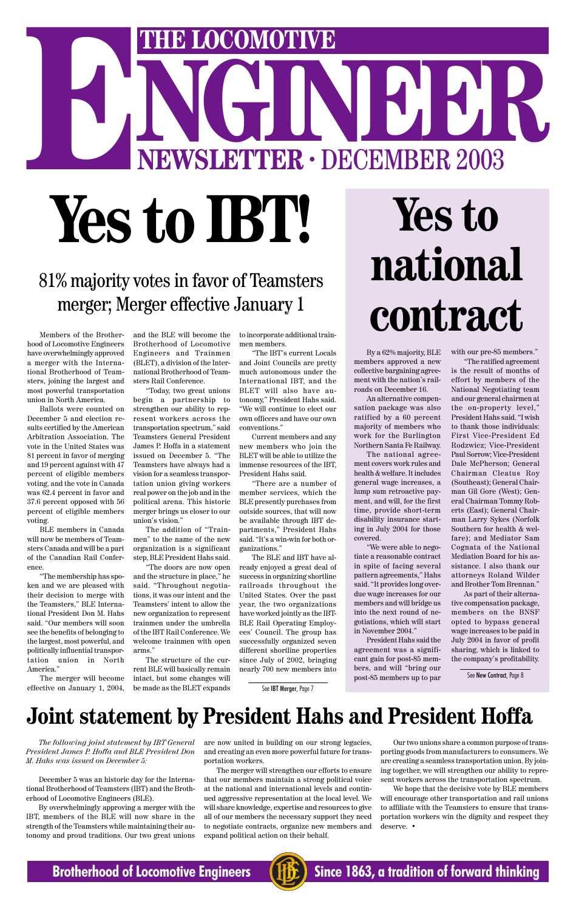Members of the Brotherhood of Locomotive Engineers have overwhelmingly approved a merger with the International Brotherhood of Teamsters, joining the largest and most powerful transportation union in North America.

Ballots were counted on December 5 and election results certified by the American Arbitration Association. The vote in the United States was 81 percent in favor of merging and 19 percent against with 47 percent of eligible members voting, and the vote in Canada was 62.4 percent in favor and 37.6 percent opposed with 56 percent of eligible members voting.

BLE members in Canada will now be members of Teamsters Canada and will be a part of the Canadian Rail Conference.

"The membership has spoken and we are pleased with their decision to merge with the Teamsters," BLE International President Don M. Hahs said. "Our members will soon see the benefits of belonging to the largest, most powerful, and politically influential transportation union in North

America."

and the BLE will become the Brotherhood of Locomotive Engineers and Trainmen (BLET), a division of the International Brotherhood of Teamsters Rail Conference.

"Today, two great unions begin a partnership to strengthen our ability to represent workers across the transportation spectrum," said Teamsters General President James P. Hoffa in a statement issued on December 5. "The Teamsters have always had a vision for a seamless transportation union giving workers real power on the job and in the political arena. This historic merger brings us closer to our union's vision."

# NGINEER<sup>2003</sup> **THE LOCOMOTIVE**<br> **NEWSLETTER · DECEMBER 2003 Yes to IBT! Yes to**

The merger will become intact, but some changes will effective on January 1, 2004, be made as the BLET expands

The addition of "Trainmen" to the name of the new organization is a significant step, BLE President Hahs said.

"The doors are now open and the structure in place," he said. "Throughout negotiations, it was our intent and the Teamsters' intent to allow the new organization to represent trainmen under the umbrella of the IBT Rail Conference. We welcome trainmen with open arms."

The structure of the current BLE will basically remain

# 81% majority votes in favor of Teamsters merger; Merger effective January 1

to incorporate additional trainmen members.

"The IBT's current Locals and Joint Councils are pretty much autonomous under the International IBT, and the BLET will also have autonomy," President Hahs said. "We will continue to elect our own officers and have our own conventions."

Current members and any new members who join the BLET will be able to utilize the immense resources of the IBT, President Hahs said.

"There are a number of member services, which the BLE presently purchases from outside sources, that will now be available through IBT departments," President Hahs said. "It's a win-win for both organizations."

The BLE and IBT have already enjoyed a great deal of success in organizing shortline railroads throughout the United States. Over the past year, the two organizations have worked jointly as the IBT-BLE Rail Operating Employees' Council. The group has successfully organized seven different shortline properties since July of 2002, bringing nearly 700 new members into

# **national contract**

By a 62% majority, BLE members approved a new collective bargaining agreement with the nation's railroads on December 16.

An alternative compensation package was also ratified by a 60 percent majority of members who work for the Burlington Northern Santa Fe Railway.

The national agreement covers work rules and health & welfare. It includes general wage increases, a lump sum retroactive payment, and will, for the first time, provide short-term disability insurance starting in July 2004 for those covered.

"We were able to negotiate a reasonable contract in spite of facing several pattern agreements," Hahs said. "It provides long overdue wage increases for our members and will bridge us into the next round of negotiations, which will start in November 2004."

President Hahs said the agreement was a significant gain for post-85 members, and will "bring our post-85 members up to par

with our pre-85 members."

"The ratified agreement is the result of months of effort by members of the National Negotiating team and our general chairmen at the on-property level," President Hahs said. "I wish to thank those individuals: First Vice-President Ed Rodzwicz; Vice-President Paul Sorrow; Vice-President Dale McPherson; General Chairman Cleatus Roy (Southeast); General Chairman Gil Gore (West); General Chairman Tommy Roberts (East); General Chairman Larry Sykes (Norfolk Southern for health & welfare); and Mediator Sam Cognata of the National Mediation Board for his assistance. I also thank our attorneys Roland Wilder and Brother Tom Brennan."

As part of their alternative compensation package, members on the BNSF opted to bypass general wage increases to be paid in July 2004 in favor of profit sharing, which is linked to the company's profitability.

*The following joint statement by IBT General President James P. Hoffa and BLE President Don M. Hahs was issued on December 5:*

December 5 was an historic day for the International Brotherhood of Teamsters (IBT) and the Brotherhood of Locomotive Engineers (BLE).

By overwhelmingly approving a merger with the IBT, members of the BLE will now share in the strength of the Teamsters while maintaining their autonomy and proud traditions. Our two great unions are now united in building on our strong legacies, and creating an even more powerful future for transportation workers.

The merger will strengthen our efforts to ensure that our members maintain a strong political voice at the national and international levels and continued aggressive representation at the local level. We will share knowledge, expertise and resources to give all of our members the necessary support they need to negotiate contracts, organize new members and expand political action on their behalf.

Our two unions share a common purpose of transporting goods from manufacturers to consumers. We are creating a seamless transportation union. By joining together, we will strengthen our ability to represent workers across the transportation spectrum.

We hope that the decisive vote by BLE members will encourage other transportation and rail unions to affiliate with the Teamsters to ensure that transportation workers win the dignity and respect they deserve. •

### **Brotherhood of Locomotive Engineers (HE)** Since 1863, a tradition of forward thinking

# **Joint statement by President Hahs and President Hoffa**

See IBT Merger, Page 7

See New Contract, Page 8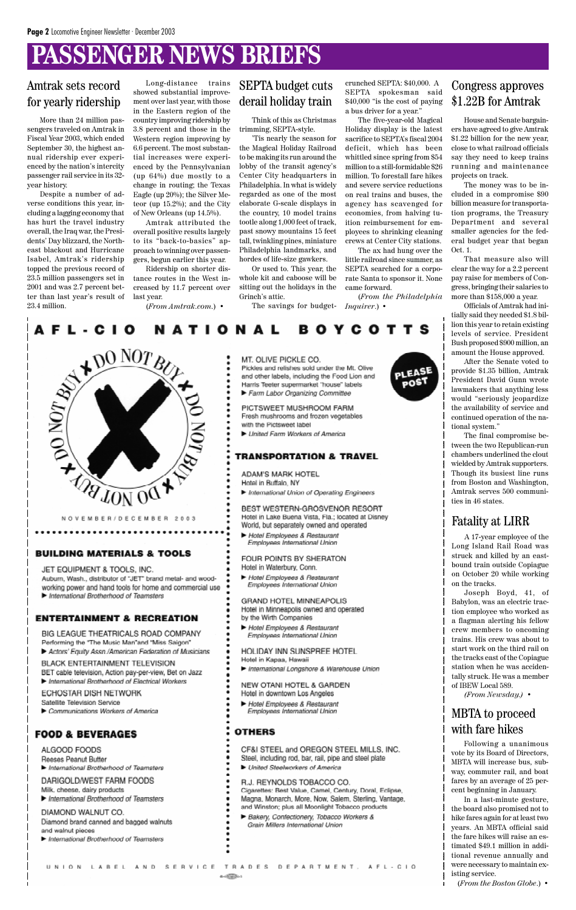# **PASSENGER NEWS BRIEFS**

### Amtrak sets record for yearly ridership

More than 24 million passengers traveled on Amtrak in Fiscal Year 2003, which ended September 30, the highest annual ridership ever experienced by the nation's intercity passenger rail service in its 32 year history.

Despite a number of adverse conditions this year, including a lagging economy that has hurt the travel industry overall, the Iraq war, the Presidents' Day blizzard, the Northeast blackout and Hurricane Isabel, Amtrak's ridership topped the previous record of 23.5 million passengers set in 2001 and was 2.7 percent better than last year's result of 23.4 million.

Long-distance trains showed substantial improvement over last year, with those in the Eastern region of the country improving ridership by 3.8 percent and those in the Western region improving by 6.6 percent. The most substantial increases were experienced by the Pennsylvanian (up 64%) due mostly to a change in routing; the Texas Eagle (up 20%); the Silver Meteor (up 15.2%); and the City of New Orleans (up 14.5%).

Amtrak attributed the overall positive results largely to its "back-to-basics" approach to winning over passengers, begun earlier this year.

Ridership on shorter distance routes in the West increased by 11.7 percent over last year.

(*From Amtrak.com*.) •

### SEPTA budget cuts derail holiday train

Think of this as Christmas trimming, SEPTA-style.

'Tis nearly the season for the Magical Holiday Railroad to be making its run around the lobby of the transit agency's Center City headquarters in Philadelphia. In what is widely regarded as one of the most elaborate G-scale displays in the country, 10 model trains tootle along 1,000 feet of track, past snowy mountains 15 feet tall, twinkling pines, miniature Philadelphia landmarks, and hordes of life-size gawkers.

Or used to. This year, the whole kit and caboose will be sitting out the holidays in the Grinch's attic.

crunched SEPTA: \$40,000. A SEPTA spokesman said \$40,000 "is the cost of paying a bus driver for a year."

The five-year-old Magical Holiday display is the latest sacrifice to SEPTA's fiscal 2004 deficit, which has been whittled since spring from \$54 million to a still-formidable \$26 million. To forestall fare hikes and severe service reductions on real trains and buses, the agency has scavenged for economies, from halving tuition reimbursement for employees to shrinking cleaning crews at Center City stations.

The savings for budget-*Inquirer*.) •

The ax had hung over the little railroad since summer, as SEPTA searched for a corporate Santa to sponsor it. None came forward.

(*From the Philadelphia*

**BOYCOTTS** 



House and Senate bargainers have agreed to give Amtrak \$1.22 billion for the new year, close to what railroad officials say they need to keep trains running and maintenance projects on track.

The money was to be included in a compromise \$90 billion measure for transportation programs, the Treasury Department and several smaller agencies for the federal budget year that began Oct. 1.

That measure also will clear the way for a 2.2 percent pay raise for members of Congress, bringing their salaries to more than \$158,000 a year.

Officials of Amtrak had initially said they needed \$1.8 billion this year to retain existing levels of service. President Bush proposed \$900 million, an amount the House approved.

After the Senate voted to provide \$1.35 billion, Amtrak President David Gunn wrote lawmakers that anything less would "seriously jeopardize the availability of service and continued operation of the national system."

The final compromise between the two Republican-run chambers underlined the clout wielded by Amtrak supporters. Though its busiest line runs from Boston and Washington, Amtrak serves 500 communities in 46 states.

### MBTA to proceed with fare hikes

Following a unanimous vote by its Board of Directors, MBTA will increase bus, subway, commuter rail, and boat fares by an average of 25 percent beginning in January.

In a last-minute gesture, the board also promised not to hike fares again for at least two years. An MBTA official said the fare hikes will raise an estimated \$49.1 million in additional revenue annually and were necessary to maintain existing service.

(*From the Boston Globe*.) •

A 17-year employee of the Long Island Rail Road was struck and killed by an eastbound train outside Copiague on October 20 while working on the tracks.

Joseph Boyd, 41, of Babylon, was an electric traction employee who worked as a flagman alerting his fellow crew members to oncoming trains. His crew was about to start work on the third rail on the tracks east of the Copiague station when he was accidentally struck. He was a member of IBEW Local 589. *(From Newsday.)* •



#### **BUILDING MATERIALS & TOOLS**

#### JET EQUIPMENT & TOOLS, INC.

........

Auburn, Wash., distributor of "JET" brand metal- and woodworking power and hand tools for home and commercial use International Brotherhood of Teamsters

#### **ENTERTAINMENT & RECREATION**

BIG LEAGUE THEATRICALS ROAD COMPANY Performing the "The Music Man"and "Miss Saigon" Actors' Equity Assn./American Federation of Musicians BLACK ENTERTAINMENT TELEVISION

#### MT. OLIVE PICKLE CO.

Pickles and relishes sold under the Mt. Olive and other labels, including the Food Lion and Harris Teeter supermarket "house" labels

Farm Labor Organizing Committee

#### PICTSWEET MUSHROOM FARM

Fresh mushrooms and frozen vegetables

with the Pictsweet label

United Farm Workers of America

#### **TRANSPORTATION & TRAVEL**

ADAM'S MARK HOTEL Hotel in Buffalo, NY

International Union of Operating Engineers

BEST WESTERN-GROSVENOR RESORT Hotel in Lake Buena Vista, Fla.; located at Disney World, but separately owned and operated

Hotel Employees & Restaurant Employees International Union

FOUR POINTS BY SHERATON Hotel in Waterbury, Conn.

Hotel Employees & Restaurant Employees International Union

#### GRAND HOTEL MINNEAPOLIS Hotel in Minneapolis owned and operated

- by the Wirth Companies
- Hotel Employees & Restaurant Employees International Union

#### HOLIDAY INN SUNSPREE HOTEL Hotel in Kapaa, Hawaii



BET cable television, Action pay-per-view, Bet on Jazz International Brotherhood of Electrical Workers

ECHOSTAR DISH NETWORK

Satellite Television Service

Communications Workers of America

#### **FOOD & BEVERAGES**

ALGOOD FOODS Reeses Peanut Butter

International Brotherhood of Teamsters

### DARIGOLD/WEST FARM FOODS

Milk, cheese, dairy products

International Brotherhood of Teamsters

DIAMOND WALNUT CO.

Diamond brand canned and bagged walnuts and walnut nieces.

UNION LABEL AND SERVICE

International Brotherhood of Teamsters

International Longshore & Warehouse Union

#### NEW OTANI HOTEL & GARDEN

- Hotel in downtown Los Angeles
- Hotel Employees & Restaurant Employees International Union

#### **OTHERS**

 $a = 0.00000$ 

- CF&I STEEL and OREGON STEEL MILLS, INC.
- Steel, including rod, bar, rail, pipe and steel plate
- United Steelworkers of America
- R.J. REYNOLDS TOBACCO CO.
- Cigarettes: Best Value, Camel, Century, Doral, Eclipse,
- Magna, Monarch, More, Now, Salem, Sterling, Vantage,
- and Winston; plus all Moonlight Tobacco products

TRADES DEPARTMENT, AFL-CIO

Bakery, Confectionery, Tobacco Workers & Grain Millers International Union

### Fatality at LIRR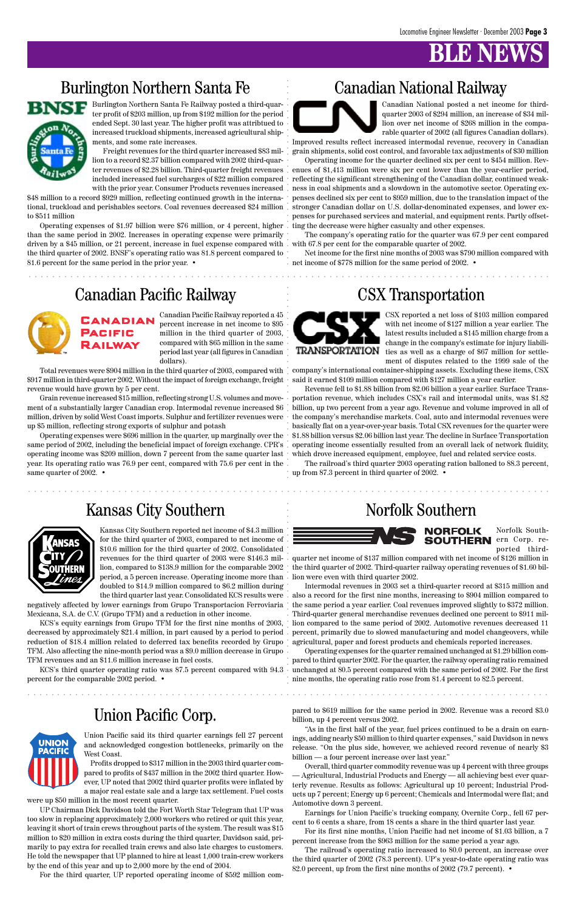# **B** NBV

## Burlington Northern Santa Fe Canadian National Railway



### Union Pacific Corp.



aaaaaaaaaaaaaaaaaaaaaaaaaaaaaaaaaaaaaaaaaaaaaaaaaaaaaaaaaaaaaaaaaaaaaaaaaaaaaaaaaaaaaaa

aaaaaaaaaaaaaaaaaaaaaaaaaaaaaaaaaaaaaaaaaaaaaaaaaaaaaaaaaaaaaaaaaaaaaaaaaaaaaaaaaaaaaaa

Operating expenses of \$1.97 billion were \$76 million, or 4 percent, higher than the same period in 2002. Increases in operating expense were primarily driven by a \$45 million, or 21 percent, increase in fuel expense compared with  $\,$  with 67.8 per cent for the comparable quarter of 2002. the third quarter of 2002. BNSF's operating ratio was 81.8 percent compared to 81.6 percent for the same period in the prior year. •

Burlington Northern Santa Fe Railway posted a third-quarter profit of \$203 million, up from \$192 million for the period ended Sept. 30 last year. The higher profit was attribtued to increased truckload shipments, increased agricultural shipments, and some rate increases.

Freight revenues for the third quarter increased \$83 million to a record \$2.37 billion compared with 2002 third-quarincluded increased fuel surcharges of \$22 million compared with the prior year. Consumer Products revenues increased

\$48 million to a record \$929 million, reflecting continued growth in the international, truckload and perishables sectors. Coal revenues decreased \$24 million to \$511 million

ter revenues of \$2.28 billion. Third-quarter freight revenues [ enues of \$1,413 million were six per cent lower than the year-earlier period, Operating income for the quarter declined six per cent to \$454 million. Revreflecting the significant strengthening of the Canadian dollar, continued weakness in coal shipments and a slowdown in the automotive sector. Operating expenses declined six per cent to \$959 million, due to the translation impact of the stronger Canadian dollar on U.S. dollar-denominated expenses, and lower expenses for purchased services and material, and equipment rents. Partly offsetting the decrease were higher casualty and other expenses.

Canadian National posted a net income for thirdquarter 2003 of \$294 million, an increase of \$34 million over net income of \$268 million in the comparable quarter of 2002 (all figures Canadian dollars).

Operating expenses were \$696 million in the quarter, up marginally over the same period of 2002, including the beneficial impact of foreign exchange. CPR's operating income was \$209 million, down 7 percent from the same quarter last year. Its operating ratio was 76.9 per cent, compared with 75.6 per cent in the same quarter of 2002. •



Improved results reflect increased intermodal revenue, recovery in Canadian grain shipments, solid cost control, and favorable tax adjustments of \$30 million

The company's operating ratio for the quarter was 67.9 per cent compared

aaaaaaaaaaaaaaaaaaaaaaaaaaaaaaaaaaaaaaaaaaaaaaaaaaaaaaaaaaaaaaaaaaaaaaaaaaaaaaaaaaaaaaa aaaaaaaaaaaaaaaaaaaaaaaaaaaaaaa aaaaaaaaaaaaaa aaaaaaaaaaaaaaaa aaaaaaaaaaa aaaaaaaaaaaaaaaaaaaaa Revenue fell to \$1.88 billion from \$2.06 billion a year earlier. Surface Transportation revenue, which includes CSX's rail and intermodal units, was \$1.82 billion, up two percent from a year ago. Revenue and volume improved in all of the company's merchandise markets. Coal, auto and intermodal revenues were basically flat on a year-over-year basis. Total CSX revenues for the quarter were \$1.88 billion versus \$2.06 billion last year. The decline in Surface Transportation operating income essentially resulted from an overall lack of network fluidity, which drove increased equipment, employee, fuel and related service costs.

Net income for the first nine months of 2003 was \$790 million compared with net income of \$778 million for the same period of 2002. •

## Canadian Pacific Railway CSX Transportation



Canadian Pacific Railway reported a 45

percent increase in net income to \$95 million in the third quarter of 2003, compared with \$65 million in the same period last year (all figures in Canadian dollars).

Total revenues were \$904 million in the third quarter of 2003, compared with \$917 million in third-quarter 2002. Without the impact of foreign exchange, freight revenue would have grown by 5 per cent.

Grain revenue increased \$15 million, reflecting strong U.S. volumes and movement of a substantially larger Canadian crop. Intermodal revenue increased \$6 million, driven by solid West Coast imports. Sulphur and fertilizer revenues were up \$5 million, reflecting strong exports of sulphur and potash

KCS's third quarter operating ratio was 87.5 percent compared with 94.3 unchanged at 80.5 percent compared with the same period of 2002. For the first Operating expenses for the quarter remained unchanged at \$1.29 billion compared to third quarter 2002. For the quarter, the railway operating ratio remained nine months, the operating ratio rose from 81.4 percent to 82.5 percent.

CSX reported a net loss of \$103 million compared with net income of \$127 million a year earlier. The latest results included a \$145 million charge from a change in the company's estimate for injury liabilities as well as a charge of \$67 million for settlement of disputes related to the 1999 sale of the

company's international container-shipping assets. Excluding these items, CSX said it earned \$109 million compared with \$127 million a year earlier.

The railroad's operating ratio increased to 80.0 percent, an increase over the third quarter of 2002 (78.3 percent). UP's year-to-date operating ratio was 82.0 percent, up from the first nine months of 2002 (79.7 percent). •

The railroad's third quarter 2003 operating ration balloned to 88.3 percent, up from 87.3 percent in third quarter of 2002. •

### Kansas City Southern Norfolk Southern



Kansas City Southern reported net income of \$4.3 million for the third quarter of 2003, compared to net income of \$10.6 million for the third quarter of 2002. Consolidated revenues for the third quarter of 2003 were \$146.3 million, compared to \$138.9 million for the comparable 2002 period, a 5 percen increase. Operating income more than doubled to \$14.9 million compared to \$6.2 million during

the third quarter last year. Consolidated KCS results were negatively affected by lower earnings from Grupo Transportacion Ferroviaria Mexicana, S.A. de C.V. (Grupo TFM) and a reduction in other income.

KCS's equity earnings from Grupo TFM for the first nine months of 2003, decreased by approximately \$21.4 million, in part caused by a period to period reduction of \$18.4 million related to deferred tax benefits recorded by Grupo TFM. Also affecting the nine-month period was a \$9.0 million decrease in Grupo TFM revenues and an \$11.6 million increase in fuel costs.

percent for the comparable 2002 period. •

Norfolk Southported third-



quarter net income of \$137 million compared with net income of \$126 million in the third quarter of 2002. Third-quarter railway operating revenues of \$1.60 billion were even with third quarter 2002.

Intermodal revenues in 2003 set a third-quarter record at \$315 million and also a record for the first nine months, increasing to \$904 million compared to the same period a year earlier. Coal revenues improved slightly to \$372 million. Third-quarter general merchandise revenues declined one percent to \$911 million compared to the same period of 2002. Automotive revenues decreased 11 percent, primarily due to slowed manufacturing and model changeovers, while agricultural, paper and forest products and chemicals reported increases.

Union Pacific said its third quarter earnings fell 27 percent and acknowledged congestion bottlenecks, primarily on the West Coast.

Profits dropped to \$317 million in the 2003 third quarter compared to profits of \$437 million in the 2002 third quarter. However, UP noted that 2002 third quarter profits were inflated by a major real estate sale and a large tax settlement. Fuel costs

were up \$50 million in the most recent quarter.

UP Chairman Dick Davidson told the Fort Worth Star Telegram that UP was too slow in replacing approximately 2,000 workers who retired or quit this year, leaving it short of train crews throughout parts of the system. The result was \$15 million to \$20 million in extra costs during the third quarter, Davidson said, primarily to pay extra for recalled train crews and also late charges to customers. He told the newspaper that UP planned to hire at least 1,000 train-crew workers by the end of this year and up to 2,000 more by the end of 2004.

For the third quarter, UP reported operating income of \$592 million com-

pared to \$619 million for the same period in 2002. Revenue was a record \$3.0 billion, up 4 percent versus 2002.

"As in the first half of the year, fuel prices continued to be a drain on earnings, adding nearly \$50 million to third quarter expenses," said Davidson in news release. "On the plus side, however, we achieved record revenue of nearly \$3 billion — a four percent increase over last year."

Overall, third quarter commodity revenue was up 4 percent with three groups — Agricultural, Industrial Products and Energy — all achieving best ever quarterly revenue. Results as follows: Agricultural up 10 percent; Industrial Products up 7 percent; Energy up 6 percent; Chemicals and Intermodal were flat; and Automotive down 3 percent.

Earnings for Union Pacific's trucking company, Overnite Corp., fell 67 percent to 6 cents a share, from 18 cents a share in the third quarter last year.

For its first nine months, Union Pacific had net income of \$1.03 billion, a 7 percent increase from the \$963 million for the same period a year ago.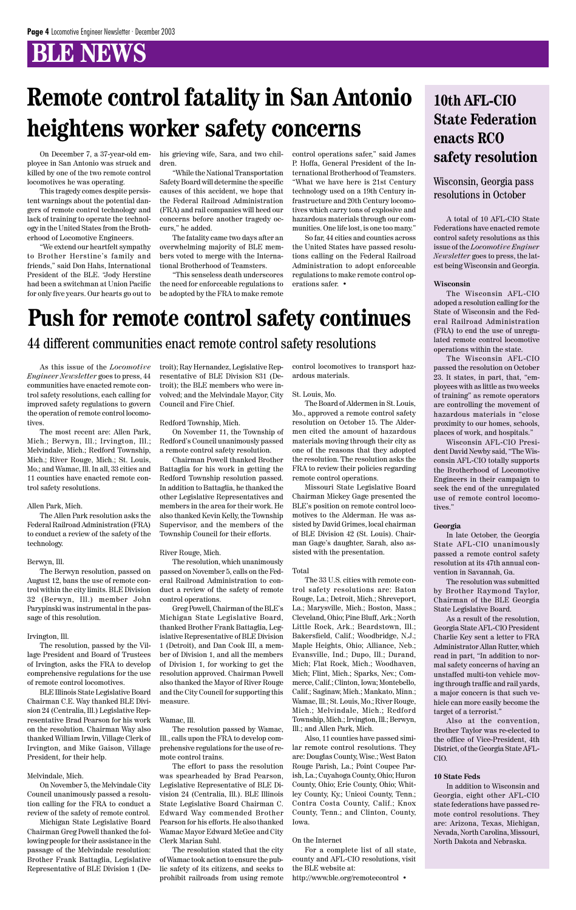A total of 10 AFL-CIO State Federations have enacted remote control safety resolutions as this issue of the *Locomotive Enginer Newsletter* goes to press, the latest being Wisconsin and Georgia.

#### **Wisconsin**

The Wisconsin AFL-CIO adoped a resolution calling for the State of Wisconsin and the Federal Railroad Administration (FRA) to end the use of unregulated remote control locomotive operations within the state.

The Wisconsin AFL-CIO passed the resolution on October 23. It states, in part, that, "employees with as little as two weeks of training" as remote operators are controlling the movement of hazardous materials in "close proximity to our homes, schools, places of work, and hospitals."

Wisconsin AFL-CIO President David Newby said, "The Wisconsin AFL-CIO totally supports the Brotherhood of Locomotive Engineers in their campaign to seek the end of the unregulated use of remote control locomotives."

#### **Georgia**

In late October, the Georgia State AFL-CIO unanimously passed a remote control safety resolution at its 47th annual convention in Savannah, Ga.

The resolution was submitted by Brother Raymond Taylor, Chairman of the BLE Georgia State Legislative Board.

As a result of the resolution, Georgia State AFL-CIO President Charlie Key sent a letter to FRA Administrator Allan Rutter, which read in part, "In addition to normal safety concerns of having an unstaffed multi-ton vehicle moving through traffic and rail yards, a major concern is that such vehicle can more easily become the target of a terrorist." Also at the convention, Brother Taylor was re-elected to the office of Vice-President, 4th District, of the Georgia State AFL-CIO.

#### **10 State Feds**

In addition to Wisconsin and Georgia, eight other AFL-CIO state federations have passed remote control resolutions. They are: Arizona, Texas, Michigan, Nevada, North Carolina, Missouri, North Dakota and Nebraska.

As this issue of the *Locomotive Engineer Newsletter* goes to press, 44 communities have enacted remote control safety resolutions, each calling for improved safety regulations to govern the operation of remote control locomotives.

The most recent are: Allen Park, Mich.; Berwyn, Ill.; Irvington, Ill.; Melvindale, Mich.; Redford Township, Mich.; River Rouge, Mich.; St. Louis, Mo.; and Wamac, Ill. In all, 33 cities and 11 counties have enacted remote control safety resolutions.

#### Allen Park, Mich.

The Allen Park resolution asks the Federal Railroad Administration (FRA) to conduct a review of the safety of the technology.

#### Berwyn, Ill.

The Berwyn resolution, passed on August 12, bans the use of remote control within the city limits. BLE Division 32 (Berwyn, Ill.) member John Parypinski was instrumental in the passage of this resolution.

#### Irvington, Ill.

The resolution, passed by the Village President and Board of Trustees of Irvington, asks the FRA to develop

comprehensive regulations for the use of remote control locomotives.

BLE Illinois State Legislative Board Chairman C.E. Way thanked BLE Division 24 (Centralia, Ill.) Legislative Representative Brad Pearson for his work on the resolution. Chairman Way also thanked William Irwin, Village Clerk of Irvington, and Mike Gaison, Village President, for their help.

#### Melvindale, Mich.

On November 5, the Melvindale City Council unanimously passed a resolution calling for the FRA to conduct a review of the safety of remote control.

Michigan State Legislative Board Chairman Greg Powell thanked the following people for their assistance in the passage of the Melvindale resolution: Brother Frank Battaglia, Legislative Representative of BLE Division 1 (Detroit); Ray Hernandez, Legislative Representative of BLE Division 831 (Detroit); the BLE members who were involved; and the Melvindale Mayor, City Council and Fire Chief.

#### Redford Township, Mich.

On November 11, the Township of Redford's Council unanimously passed a remote control safety resolution.

Chairman Powell thanked Brother Battaglia for his work in getting the Redford Township resolution passed. In addition to Battaglia, he thanked the other Legislative Representatives and members in the area for their work. He also thanked Kevin Kelly, the Township Supervisor, and the members of the Township Council for their efforts.

#### River Rouge, Mich.

The resolution, which unanimously passed on November 5, calls on the Federal Railroad Administration to conduct a review of the safety of remote control operations.

Greg Powell, Chairman of the BLE's Michigan State Legislative Board, thanked Brother Frank Battaglia, Legislative Representative of BLE Division 1 (Detroit), and Dan Cook III, a member of Division 1, and all the members of Division 1, for working to get the resolution approved. Chairman Powell also thanked the Mayor of River Rouge and the City Council for supporting this measure.

#### Wamac, Ill.

The resolution passed by Wamac, Ill., calls upon the FRA to develop comprehensive regulations for the use of remote control trains.

The effort to pass the resolution was spearheaded by Brad Pearson, Legislative Representative of BLE Division 24 (Centralia, Ill.). BLE Illinois State Legislative Board Chairman C. Edward Way commended Brother Pearson for his efforts. He also thanked Wamac Mayor Edward McGee and City Clerk Marian Suhl.

The resolution stated that the city of Wamac took action to ensure the public safety of its citizens, and seeks to prohibit railroads from using remote control locomotives to transport hazardous materials.

#### St. Louis, Mo.

The Board of Aldermen in St. Louis, Mo., approved a remote control safety resolution on October 15. The Aldermen cited the amount of hazardous materials moving through their city as one of the reasons that they adopted the resolution. The resolution asks the FRA to review their policies regarding remote control operations.

Missouri State Legislative Board Chairman Mickey Gage presented the BLE's position on remote control locomotives to the Alderman. He was assisted by David Grimes, local chairman of BLE Division 42 (St. Louis). Chairman Gage's daughter, Sarah, also assisted with the presentation.

#### Total

The 33 U.S. cities with remote control safety resolutions are: Baton Rouge, La.; Detroit, Mich.; Shreveport, La.; Marysville, Mich.; Boston, Mass.; Cleveland, Ohio; Pine Bluff, Ark.; North Little Rock, Ark.; Beardstown, Ill.; Bakersfield, Calif.; Woodbridge, N.J.; Maple Heights, Ohio; Alliance, Neb.; Evansville, Ind.; Dupo, Ill.; Durand, Mich; Flat Rock, Mich.; Woodhaven, Mich; Flint, Mich.; Sparks, Nev.; Commerce, Calif.; Clinton, Iowa; Montebello, Calif.; Saginaw, Mich.; Mankato, Minn.; Wamac, Ill.; St. Louis, Mo.; River Rouge, Mich.; Melvindale, Mich.; Redford Township, Mich.; Irvington, Ill.; Berwyn, Ill.; and Allen Park, Mich. Also, 11 counties have passed similar remote control resolutions. They are: Douglas County, Wisc.; West Baton Rouge Parish, La.; Point Coupee Parish, La.; Cuyahoga County, Ohio; Huron County, Ohio; Erie County, Ohio; Whitley County, Ky.; Unicoi County, Tenn.; Contra Costa County, Calif.; Knox County, Tenn.; and Clinton, County, Iowa.

#### On the Internet

For a complete list of all state, county and AFL-CIO resolutions, visit the BLE website at:

http://www.ble.org/remotecontrol •

### 44 different communities enact remote control safety resolutions

### **10th AFL-CIO State Federation enacts RCO safety resolution**

#### Wisconsin, Georgia pass resolutions in October

# **Remote control fatality in San Antonio heightens worker safety concerns**

On December 7, a 37-year-old employee in San Antonio was struck and killed by one of the two remote control locomotives he was operating.

This tragedy comes despite persistent warnings about the potential dangers of remote control technology and lack of training to operate the technology in the United States from the Brotherhood of Locomotive Engineers.

"We extend our heartfelt sympathy to Brother Herstine's family and friends," said Don Hahs, International President of the BLE. "Jody Herstine had been a switchman at Union Pacific for only five years. Our hearts go out to his grieving wife, Sara, and two children.

"While the National Transportation Safety Board will determine the specific causes of this accident, we hope that the Federal Railroad Administration (FRA) and rail companies will heed our concerns before another tragedy occurs," he added.

The fatality came two days after an overwhelming majority of BLE members voted to merge with the International Brotherhood of Teamsters.

"This senseless death underscores the need for enforceable regulations to be adopted by the FRA to make remote control operations safer," said James P. Hoffa, General President of the International Brotherhood of Teamsters. "What we have here is 21st Century technology used on a 19th Century infrastructure and 20th Century locomotives which carry tons of explosive and hazardous materials through our communities. One life lost, is one too many."

So far, 44 cities and counties across the United States have passed resolutions calling on the Federal Railroad Administration to adopt enforceable regulations to make remote control operations safer. •

# **Push for remote control safety continues**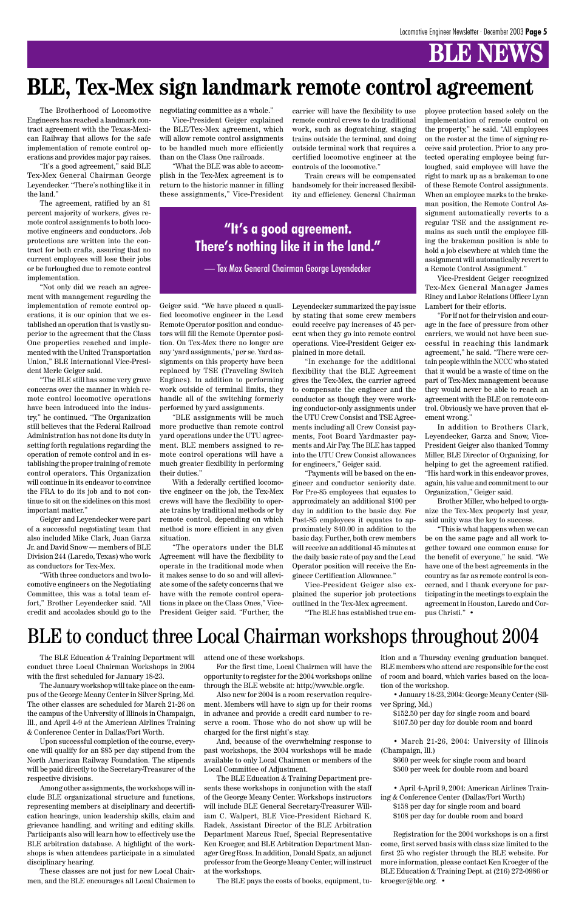The Brotherhood of Locomotive Engineers has reached a landmark contract agreement with the Texas-Mexican Railway that allows for the safe implementation of remote control operations and provides major pay raises.

"It's a good agreement," said BLE Tex-Mex General Chairman George Leyendecker. "There's nothing like it in the land."

The agreement, ratified by an 81 percent majority of workers, gives remote control assignments to both locomotive engineers and conductors. Job protections are written into the contract for both crafts, assuring that no current employees will lose their jobs or be furloughed due to remote control implementation.

"Not only did we reach an agreement with management regarding the implementation of remote control operations, it is our opinion that we established an operation that is vastly superior to the agreement that the Class One properties reached and implemented with the United Transportation Union," BLE International Vice-President Merle Geiger said.

"The BLE still has some very grave concerns over the manner in which remote control locomotive operations have been introduced into the industry," he continued. "The Organization still believes that the Federal Railroad Administration has not done its duty in setting forth regulations regarding the operation of remote control and in establishing the proper training of remote control operators. This Organization will continue in its endeavor to convince the FRA to do its job and to not continue to sit on the sidelines on this most important matter."

Geiger and Leyendecker were part of a successful negotiating team that also included Mike Clark, Juan Garza Jr. and David Snow — members of BLE Division 244 (Laredo, Texas) who work as conductors for Tex-Mex.

"With three conductors and two locomotive engineers on the Negotiating Committee, this was a total team effort," Brother Leyendecker said. "All credit and accolades should go to the negotiating committee as a whole."

Vice-President Geiger explained the BLE/Tex-Mex agreement, which will allow remote control assignments to be handled much more efficiently than on the Class One railroads.

"What the BLE was able to accomplish in the Tex-Mex agreement is to return to the historic manner in filling these assignments," Vice-President

Geiger said. "We have placed a qualified locomotive engineer in the Lead Remote Operator position and conductors will fill the Remote Operator position. On Tex-Mex there no longer are any 'yard assignments,' per se. Yard assignments on this property have been replaced by TSE (Traveling Switch Engines). In addition to performing work outside of terminal limits, they handle all of the switching formerly performed by yard assignments.

"BLE assignments will be much more productive than remote control yard operations under the UTU agreement. BLE members assigned to remote control operations will have a much greater flexibility in performing their duties."

With a federally certified locomotive engineer on the job, the Tex-Mex crews will have the flexibility to operate trains by traditional methods or by remote control, depending on which method is more efficient in any given situation.

"The operators under the BLE Agreement will have the flexibility to operate in the traditional mode when it makes sense to do so and will alleviate some of the safety concerns that we have with the remote control operations in place on the Class Ones," Vice-President Geiger said. "Further, the

carrier will have the flexibility to use remote control crews to do traditional work, such as dogcatching, staging trains outside the terminal, and doing outside terminal work that requires a certified locomotive engineer at the controls of the locomotive."

Train crews will be compensated handsomely for their increased flexibility and efficiency. General Chairman

Leyendecker summarized the pay issue by stating that some crew members could receive pay increases of 45 percent when they go into remote control operations. Vice-President Geiger explained in more detail.

"In exchange for the additional flexibility that the BLE Agreement gives the Tex-Mex, the carrier agreed to compensate the engineer and the conductor as though they were working conductor-only assignments under the UTU Crew Consist and TSE Agreements including all Crew Consist payments, Foot Board Yardmaster payments and Air Pay. The BLE has tapped into the UTU Crew Consist allowances for engineers," Geiger said.

"Payments will be based on the engineer and conductor seniority date. For Pre-85 employees that equates to approximately an additional \$100 per day in addition to the basic day. For Post-85 employees it equates to approximately \$40.00 in addition to the basic day. Further, both crew members will receive an additional 45 minutes at the daily basic rate of pay and the Lead Operator position will receive the Engineer Certification Allowance."

Vice-President Geiger also explained the superior job protections outlined in the Tex-Mex agreement.

"The BLE has established true em-

ployee protection based solely on the implementation of remote control on the property," he said. "All employees on the roster at the time of signing receive said protection. Prior to any protected operating employee being furloughed, said employee will have the right to mark up as a brakeman to one of these Remote Control assignments. When an employee marks to the brakeman position, the Remote Control Assignment automatically reverts to a regular TSE and the assignment remains as such until the employee filling the brakeman position is able to hold a job elsewhere at which time the assignment will automatically revert to a Remote Control Assignment."

Vice-President Geiger recognized Tex-Mex General Manager James Riney and Labor Relations Officer Lynn Lambert for their efforts.

"For if not for their vision and courage in the face of pressure from other carriers, we would not have been successful in reaching this landmark agreement," he said. "There were certain people within the NCCC who stated that it would be a waste of time on the part of Tex-Mex management because they would never be able to reach an agreement with the BLE on remote control. Obviously we have proven that element wrong."

In addition to Brothers Clark, Leyendecker, Garza and Snow, Vice-President Geiger also thanked Tommy Miller, BLE Director of Organizing, for helping to get the agreement ratified. "His hard work in this endeavor proves, again, his value and commitment to our Organization," Geiger said.

Brother Miller, who helped to organize the Tex-Mex property last year, said unity was the key to success.

"This is what happens when we can be on the same page and all work together toward one common cause for the benefit of everyone," he said. "We have one of the best agreements in the country as far as remote control is concerned, and I thank everyone for participating in the meetings to explain the agreement in Houston, Laredo and Corpus Christi." •

# **BLE, Tex-Mex sign landmark remote control agreement**

with the first scheduled for January 18-23.

The January workshop will take place on the campus of the George Meany Center in Silver Spring, Md. The other classes are scheduled for March 21-26 on the campus of the University of Illinois in Champaign, Ill., and April 4-9 at the American Airlines Training & Conference Center in Dallas/Fort Worth.

Upon successful completion of the course, everyone will qualify for an \$85 per day stipend from the North American Railway Foundation. The stipends will be paid directly to the Secretary-Treasurer of the respective divisions.

The BLE Education & Training Department will attend one of these workshops.

Among other assignments, the workshops will include BLE organizational structure and functions, representing members at disciplinary and decertification hearings, union leadership skills, claim and grievance handling, and writing and editing skills. Participants also will learn how to effectively use the BLE arbitration database. A highlight of the workshops is when attendees participate in a simulated disciplinary hearing.

These classes are not just for new Local Chairmen, and the BLE encourages all Local Chairmen to

conduct three Local Chairman Workshops in 2004 For the first time, Local Chairmen will have the BLE members who attend are responsible for the cost ition and a Thursday evening graduation banquet. of room and board, which varies based on the location of the workshop.

opportunity to register for the 2004 workshops online through the BLE website at: http://www.ble.org/lc.

Also new for 2004 is a room reservation requirement. Members will have to sign up for their rooms in advance and provide a credit card number to reserve a room. Those who do not show up will be charged for the first night's stay.

And, because of the overwhelming response to past workshops, the 2004 workshops will be made available to only Local Chairmen or members of the Local Committee of Adjustment.

The BLE Education & Training Department presents these workshops in conjunction with the staff of the George Meany Center. Workshops instructors will include BLE General Secretary-Treasurer William C. Walpert, BLE Vice-President Richard K. Radek, Assistant Director of the BLE Arbitration Department Marcus Ruef, Special Representative Ken Kroeger, and BLE Arbitration Department Manager Greg Ross. In addition, Donald Spatz, an adjunct professor from the George Meany Center, will instruct at the workshops.

The BLE pays the costs of books, equipment, tu-

• January 18-23, 2004: George Meany Center (Silver Spring, Md.)

\$152.50 per day for single room and board \$107.50 per day for double room and board

• March 21-26, 2004: University of Illinois (Champaign, Ill.)

\$660 per week for single room and board \$500 per week for double room and board

• April 4-April 9, 2004: American Airlines Training & Conference Center (Dallas/Fort Worth) \$158 per day for single room and board \$108 per day for double room and board

Registration for the 2004 workshops is on a first come, first served basis with class size limited to the first 25 who register through the BLE website. For more information, please contact Ken Kroeger of the BLE Education & Training Dept. at (216) 272-0986 or kroeger@ble.org. •

# BLE to conduct three Local Chairman workshops throughout 2004

### **"It's a good agreement. There's nothing like it in the land."**

— Tex Mex General Chairman George Leyendecker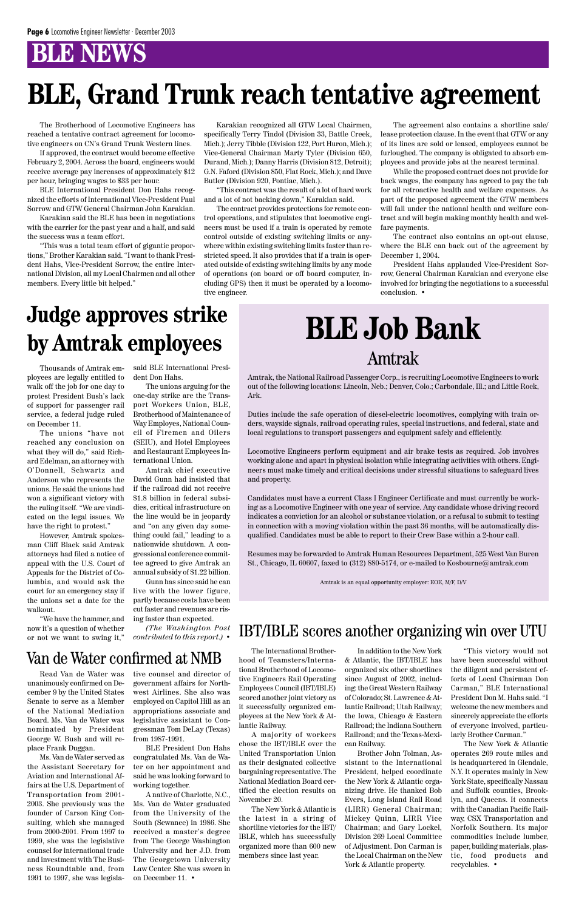The Brotherhood of Locomotive Engineers has reached a tentative contract agreement for locomotive engineers on CN's Grand Trunk Western lines.

If approved, the contract would become effective February 2, 2004. Across the board, engineers would receive average pay increases of approximately \$12 per hour, bringing wages to \$33 per hour.

BLE International President Don Hahs recognized the efforts of International Vice-President Paul Sorrow and GTW General Chairman John Karakian.

Karakian said the BLE has been in negotiations with the carrier for the past year and a half, and said the success was a team effort.

"This was a total team effort of gigantic proportions," Brother Karakian said. "I want to thank President Hahs, Vice-President Sorrow, the entire International Division, all my Local Chairmen and all other members. Every little bit helped."

> The International Brothertional Brotherhood of Locomotive Engineers Rail Operating Employees Council (IBT/IBLE) scored another joint victory as it successfully organized employees at the New York & Atlantic Railway. A majority of workers chose the IBT/IBLE over the United Transportation Union as their designated collective bargaining representative. The National Mediation Board certified the election results on November 20. The New York & Atlantic is the latest in a string of shortline victories for the IBT/ IBLE, which has successfully organized more than 600 new members since last year.

hood of Teamsters/Interna-& Atlantic, the IBT/IBLE has have been successful without In addition to the New York organized six other shortlines since August of 2002, including: the Great Western Railway of Colorado; St. Lawrence & Atlantic Railroad; Utah Railway; the Iowa, Chicago & Eastern Railroad; the Indiana Southern Railroad; and the Texas-Mexican Railway. Brother John Tolman, Assistant to the International President, helped coordinate the New York & Atlantic organizing drive. He thanked Bob Evers, Long Island Rail Road (LIRR) General Chairman; Mickey Quinn, LIRR Vice Chairman; and Gary Lockel, Division 269 Local Committee of Adjustment. Don Carman is the Local Chairman on the New York & Atlantic property.

"This victory would not the diligent and persistent efforts of Local Chairman Don Carman," BLE International President Don M. Hahs said. "I welcome the new members and sincerely appreciate the efforts of everyone involved, particularly Brother Carman." The New York & Atlantic operates 269 route miles and is headquartered in Glendale, N.Y. It operates mainly in New York State, specifically Nassau and Suffolk counties, Brooklyn, and Queens. It connects with the Canadian Pacific Railway, CSX Transportation and Norfolk Southern. Its major commodities include lumber, paper, building materials, plastic, food products and recyclables. •

Karakian recognized all GTW Local Chairmen, specifically Terry Tindol (Division 33, Battle Creek, Mich.); Jerry Tibble (Division 122, Port Huron, Mich.); Vice-General Chairman Marty Tyler (Division 650, Durand, Mich.); Danny Harris (Division 812, Detroit); G.N. Faford (Division 850, Flat Rock, Mich.); and Dave Butler (Division 920, Pontiac, Mich.).

"This contract was the result of a lot of hard work and a lot of not backing down," Karakian said.

The contract provides protections for remote control operations, and stipulates that locomotive engineers must be used if a train is operated by remote control outside of existing switching limits or anywhere within existing switching limits faster than restricted speed. It also provides that if a train is operated outside of existing switching limits by any mode of operations (on board or off board computer, including GPS) then it must be operated by a locomotive engineer.

The agreement also contains a shortline sale/ lease protection clause. In the event that GTW or any of its lines are sold or leased, employees cannot be furloughed. The company is obligated to absorb employees and provide jobs at the nearest terminal.

While the proposed contract does not provide for back wages, the company has agreed to pay the tab for all retroactive health and welfare expenses. As part of the proposed agreement the GTW members will fall under the national health and welfare contract and will begin making monthly health and welfare payments.

The contract also contains an opt-out clause, where the BLE can back out of the agreement by December 1, 2004.

President Hahs applauded Vice-President Sorrow, General Chairman Karakian and everyone else involved for bringing the negotiations to a successful conclusion. •

# **BLE, Grand Trunk reach tentative agreement**

Amtrak, the National Railroad Passenger Corp., is recruiting Locomotive Engineers to work out of the following locations: Lincoln, Neb.; Denver, Colo.; Carbondale, Ill.; and Little Rock, Ark.

Duties include the safe operation of diesel-electric locomotives, complying with train orders, wayside signals, railroad operating rules, special instructions, and federal, state and local regulations to transport passengers and equipment safely and efficiently.

Locomotive Engineers perform equipment and air brake tests as required. Job involves working alone and apart in physical isolation while integrating activities with others. Engineers must make timely and critical decisions under stressful situations to safeguard lives and property.

Candidates must have a current Class I Engineer Certificate and must currently be working as a Locomotive Engineer with one year of service. Any candidate whose driving record indicates a conviction for an alcohol or substance violation, or a refusal to submit to testing in connection with a moving violation within the past 36 months, will be automatically disqualified. Candidates must be able to report to their Crew Base within a 2-hour call.

Resumes may be forwarded to Amtrak Human Resources Department, 525 West Van Buren St., Chicago, IL 60607, faxed to (312) 880-5174, or e-mailed to Kosbourne@amtrak.com

Amtrak is an equal opportunity employer: EOE, M/F, D/V

# **BLE Job Bank** Amtrak

### IBT/IBLE scores another organizing win over UTU

Thousands of Amtrak employees are legally entitled to walk off the job for one day to protest President Bush's lack of support for passenger rail service, a federal judge ruled on December 11.

The unions "have not reached any conclusion on what they will do," said Richard Edelman, an attorney with O'Donnell, Schwartz and Anderson who represents the unions. He said the unions had won a significant victory with the ruling itself. "We are vindicated on the legal issues. We have the right to protest."

However, Amtrak spokesman Cliff Black said Amtrak attorneys had filed a notice of appeal with the U.S. Court of Appeals for the District of Columbia, and would ask the court for an emergency stay if the unions set a date for the walkout.

"We have the hammer, and now it's a question of whether or not we want to swing it," said BLE International President Don Hahs.

The unions arguing for the one-day strike are the Transport Workers Union, BLE, Brotherhood of Maintenance of Way Employes, National Council of Firemen and Oilers (SEIU), and Hotel Employees and Restaurant Employees International Union.

Amtrak chief executive David Gunn had insisted that if the railroad did not receive \$1.8 billion in federal subsidies, critical infrastructure on the line would be in jeopardy and "on any given day something could fail," leading to a nationwide shutdown. A congressional conference committee agreed to give Amtrak an annual subsidy of \$1.22 billion.

Gunn has since said he can live with the lower figure, partly because costs have been cut faster and revenues are rising faster than expected.

*(The Washington Post contributed to this report.)* •

# **Judge approves strike by Amtrak employees**

Read Van de Water was unanimously confirmed on December 9 by the United States Senate to serve as a Member of the National Mediation Board. Ms. Van de Water was nominated by President George W. Bush and will replace Frank Duggan.

Ms. Van de Water served as the Assistant Secretary for Aviation and International Affairs at the U.S. Department of Transportation from 2001- 2003. She previously was the founder of Carson King Consulting, which she managed from 2000-2001. From 1997 to 1999, she was the legislative counsel for international trade and investment with The Business Roundtable and, from 1991 to 1997, she was legislative counsel and director of government affairs for Northwest Airlines. She also was employed on Capitol Hill as an appropriations associate and legislative assistant to Congressman Tom DeLay (Texas) from 1987-1991.

BLE President Don Hahs congratulated Ms. Van de Water on her appointment and said he was looking forward to working together.

A native of Charlotte, N.C., Ms. Van de Water graduated from the University of the South (Sewanee) in 1986. She received a master's degree from The George Washington University and her J.D. from The Georgetown University Law Center. She was sworn in on December 11. •

### Van de Water confirmed at NMB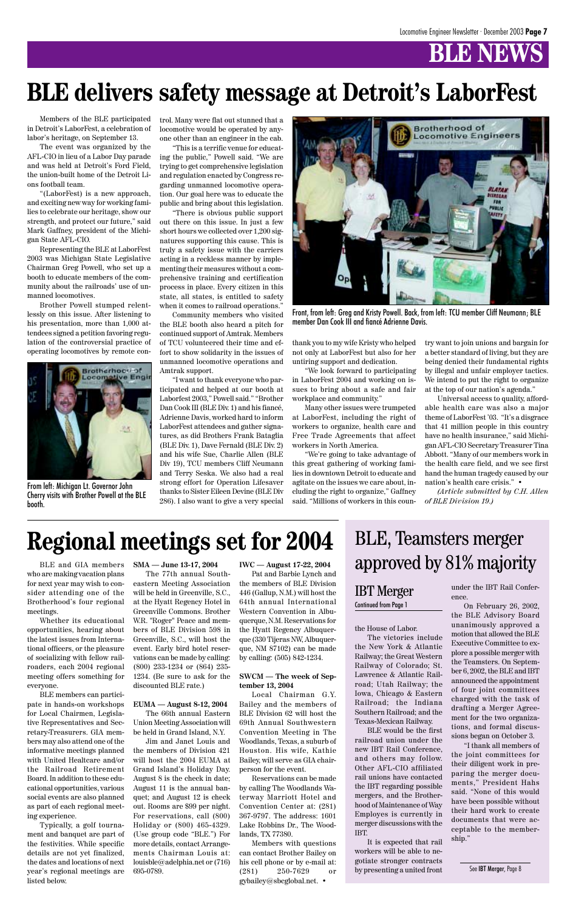Members of the BLE participated in Detroit's LaborFest, a celebration of labor's heritage, on September 13.

The event was organized by the AFL-CIO in lieu of a Labor Day parade and was held at Detroit's Ford Field, the union-built home of the Detroit Lions football team.

"(LaborFest) is a new approach, and exciting new way for working families to celebrate our heritage, show our strength, and protect our future," said Mark Gaffney, president of the Michigan State AFL-CIO.

Representing the BLE at LaborFest 2003 was Michigan State Legislative Chairman Greg Powell, who set up a booth to educate members of the community about the railroads' use of unmanned locomotives.

Brother Powell stumped relentlessly on this issue. After listening to his presentation, more than 1,000 attendees signed a petition favoring regulation of the controversial practice of operating locomotives by remote control. Many were flat out stunned that a locomotive would be operated by anyone other than an engineer in the cab.

"This is a terrific venue for educating the public," Powell said. "We are trying to get comprehensive legislation and regulation enacted by Congress regarding unmanned locomotive operation. Our goal here was to educate the public and bring about this legislation.

"There is obvious public support out there on this issue. In just a few short hours we collected over 1,200 signatures supporting this cause. This is truly a safety issue with the carriers acting in a reckless manner by implementing their measures without a comprehensive training and certification process in place. Every citizen in this state, all states, is entitled to safety when it comes to railroad operations."

Community members who visited the BLE booth also heard a pitch for continued support of Amtrak. Members of TCU volunteered their time and effort to show solidarity in the issues of unmanned locomotive operations and Amtrak support.

"I want to thank everyone who participated and helped at our booth at Laborfest 2003," Powell said." "Brother Dan Cook III (BLE Div. 1) and his fiancé, Adrienne Davis, worked hard to inform LaborFest attendees and gather signatures, as did Brothers Frank Bataglia (BLE Div. 1), Dave Fernald (BLE Div. 2) and his wife Sue, Charlie Allen (BLE Div 19), TCU members Cliff Neumann and Terry Seska. We also had a real strong effort for Operation Lifesaver thanks to Sister Eileen Devine (BLE Div 286). I also want to give a very special



Front, from left: Greg and Kristy Powell. Back, from left: TCU member Cliff Neumann; BLE member Dan Cook III and fiancé Adrienne Davis.

thank you to my wife Kristy who helped not only at LaborFest but also for her untiring support and dedication.

"We look forward to participating in LaborFest 2004 and working on issues to bring about a safe and fair workplace and community."

Many other issues were trumpeted at LaborFest, including the right of workers to organize, health care and Free Trade Agreements that affect workers in North America.

"We're going to take advantage of this great gathering of working families in downtown Detroit to educate and agitate on the issues we care about, including the right to organize," Gaffney said. "Millions of workers in this country want to join unions and bargain for a better standard of living, but they are being denied their fundamental rights by illegal and unfair employer tactics. We intend to put the right to organize at the top of our nation's agenda."

Universal access to quality, affordable health care was also a major theme of LaborFest '03. "It's a disgrace that 41 million people in this country have no health insurance," said Michigan AFL-CIO Secretary Treasurer Tina Abbott. "Many of our members work in the health care field, and we see first hand the human tragedy caused by our nation's health care crisis." •

*(Article submitted by C.H. Allen of BLE Division 19.)*

# **BLE delivers safety message at Detroit's LaborFest**



From left: Michigan Lt. Governor John Cherry visits with Brother Powell at the BLE booth.

BLE and GIA members who are making vacation plans for next year may wish to consider attending one of the Brotherhood's four regional meetings.

Whether its educational opportunities, hearing about the latest issues from International officers, or the pleasure of socializing with fellow railroaders, each 2004 regional

meeting offers something for everyone.

BLE members can participate in hands-on workshops for Local Chairmen, Legislative Representatives and Secretary-Treasurers. GIA members may also attend one of the informative meetings planned with United Healtcare and/or the Railroad Retirement Board. In addition to these educational opportunities, various social events are also planned as part of each regional meeting experience.

Typically, a golf tournament and banquet are part of the festivities. While specific details are not yet finalized, the dates and locations of next year's regional meetings are listed below.

**SMA — June 13-17, 2004**

The 77th annual Southeastern Meeting Association will be held in Greenville, S.C., at the Hyatt Regency Hotel in Greenville Commons. Brother W.R. "Roger" Peace and members of BLE Division 598 in Greenville, S.C., will host the event. Early bird hotel reservations can be made by calling: (800) 233-1234 or (864) 235-

1234. (Be sure to ask for the discounted BLE rate.)

**EUMA — August 8-12, 2004** The 66th annual Eastern Union Meeting Association will be held in Grand Island, N.Y.

Jim and Janet Louis and the members of Division 421 will host the 2004 EUMA at Grand Island's Holiday Day. August 8 is the check in date; August 11 is the annual banquet; and August 12 is check out. Rooms are \$99 per night. For reservations, call (800) Holiday or (800) 465-4329. (Use group code "BLE.") For more details, contact Arrangements Chairman Louis at: louisble@adelphia.net or (716) 695-0789.

**IWC — August 17-22, 2004**

Pat and Barbie Lynch and the members of BLE Division 446 (Gallup, N.M.) will host the 64th annual International Western Convention in Albuquerque, N.M. Reservations for the Hyatt Regency Albuquerque (330 Tijeras NW, Albuquerque, NM 87102) can be made by calling: (505) 842-1234.

#### **SWCM — The week of September 13, 2004**

Local Chairman G.Y. Bailey and the members of BLE Division 62 will host the 69th Annual Southwestern Convention Meeting in The Woodlands, Texas, a suburb of Houston. His wife, Kathie Bailey, will serve as GIA chairperson for the event.

Reservations can be made by calling The Woodlands Waterway Marriott Hotel and Convention Center at: (281) 367-9797. The address: 1601 Lake Robbins Dr., The Woodlands, TX 77380.

Members with questions can contact Brother Bailey on his cell phone or by e-mail at: (281) 250-7629 or gybailey@sbcglobal.net. •

# **Regional meetings set for 2004**

#### the House of Labor.

The victories include the New York & Atlantic Railway; the Great Western Railway of Colorado; St.

Lawrence & Atlantic Railroad; Utah Railway; the Iowa, Chicago & Eastern Railroad; the Indiana Southern Railroad; and the Texas-Mexican Railway.

BLE would be the first railroad union under the new IBT Rail Conference, and others may follow. Other AFL-CIO affiliated rail unions have contacted the IBT regarding possible mergers, and the Brotherhood of Maintenance of Way Employes is currently in merger discussions with the IBT.

It is expected that rail workers will be able to negotiate stronger contracts by presenting a united front under the IBT Rail Conference.

On February 26, 2002, the BLE Advisory Board unanimously approved a motion that allowed the BLE Executive Committee to explore a possible merger with the Teamsters. On September 6, 2002, the BLE and IBT announced the appointment of four joint committees charged with the task of drafting a Merger Agreement for the two organizations, and formal discussions began on October 3. "I thank all members of the joint committees for their diligent work in preparing the merger documents," President Hahs said. "None of this would have been possible without their hard work to create documents that were acceptable to the membership."

#### IBT Merger Continued from Page 1

# BLE, Teamsters merger approved by 81% majority

See IBT Merger, Page 8